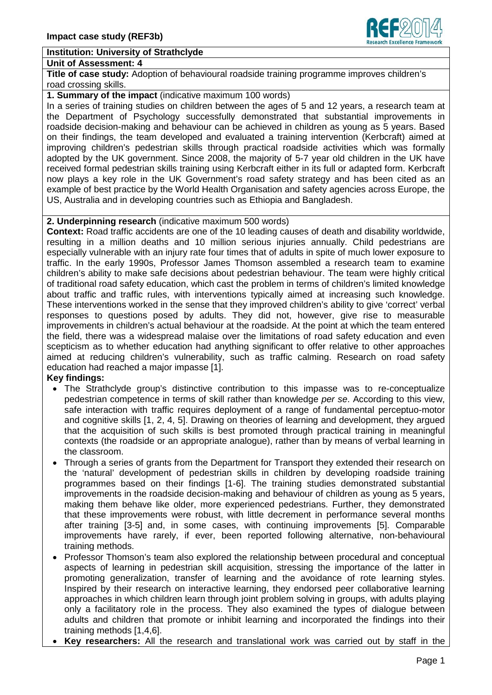## **Institution: University of Strathclyde**

#### **Unit of Assessment: 4**

**Title of case study:** Adoption of behavioural roadside training programme improves children's road crossing skills.

**1. Summary of the impact** (indicative maximum 100 words)

In a series of training studies on children between the ages of 5 and 12 years, a research team at the Department of Psychology successfully demonstrated that substantial improvements in roadside decision-making and behaviour can be achieved in children as young as 5 years. Based on their findings, the team developed and evaluated a training intervention (Kerbcraft) aimed at improving children's pedestrian skills through practical roadside activities which was formally adopted by the UK government. Since 2008, the majority of 5-7 year old children in the UK have received formal pedestrian skills training using Kerbcraft either in its full or adapted form. Kerbcraft now plays a key role in the UK Government's road safety strategy and has been cited as an example of best practice by the World Health Organisation and safety agencies across Europe, the US, Australia and in developing countries such as Ethiopia and Bangladesh.

## **2. Underpinning research** (indicative maximum 500 words)

**Context:** Road traffic accidents are one of the 10 leading causes of death and disability worldwide, resulting in a million deaths and 10 million serious injuries annually. Child pedestrians are especially vulnerable with an injury rate four times that of adults in spite of much lower exposure to traffic. In the early 1990s, Professor James Thomson assembled a research team to examine children's ability to make safe decisions about pedestrian behaviour. The team were highly critical of traditional road safety education, which cast the problem in terms of children's limited knowledge about traffic and traffic rules, with interventions typically aimed at increasing such knowledge. These interventions worked in the sense that they improved children's ability to give 'correct' verbal responses to questions posed by adults. They did not, however, give rise to measurable improvements in children's actual behaviour at the roadside. At the point at which the team entered the field, there was a widespread malaise over the limitations of road safety education and even scepticism as to whether education had anything significant to offer relative to other approaches aimed at reducing children's vulnerability, such as traffic calming. Research on road safety education had reached a major impasse [1].

#### **Key findings:**

- The Strathclyde group's distinctive contribution to this impasse was to re-conceptualize pedestrian competence in terms of skill rather than knowledge *per se*. According to this view, safe interaction with traffic requires deployment of a range of fundamental perceptuo-motor and cognitive skills [1, 2, 4, 5]. Drawing on theories of learning and development, they argued that the acquisition of such skills is best promoted through practical training in meaningful contexts (the roadside or an appropriate analogue), rather than by means of verbal learning in the classroom.
- Through a series of grants from the Department for Transport they extended their research on the 'natural' development of pedestrian skills in children by developing roadside training programmes based on their findings [1-6]. The training studies demonstrated substantial improvements in the roadside decision-making and behaviour of children as young as 5 years, making them behave like older, more experienced pedestrians. Further, they demonstrated that these improvements were robust, with little decrement in performance several months after training [3-5] and, in some cases, with continuing improvements [5]. Comparable improvements have rarely, if ever, been reported following alternative, non-behavioural training methods.
- Professor Thomson's team also explored the relationship between procedural and conceptual aspects of learning in pedestrian skill acquisition, stressing the importance of the latter in promoting generalization, transfer of learning and the avoidance of rote learning styles. Inspired by their research on interactive learning, they endorsed peer collaborative learning approaches in which children learn through joint problem solving in groups, with adults playing only a facilitatory role in the process. They also examined the types of dialogue between adults and children that promote or inhibit learning and incorporated the findings into their training methods [1,4,6].
- **Key researchers:** All the research and translational work was carried out by staff in the

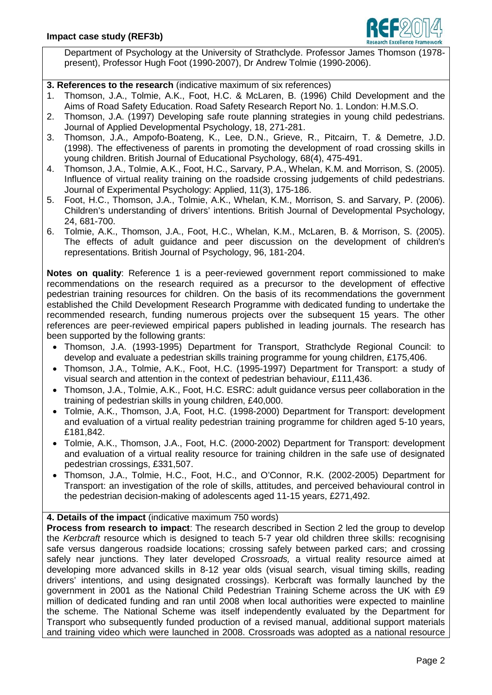

Department of Psychology at the University of Strathclyde. Professor James Thomson (1978 present), Professor Hugh Foot (1990-2007), Dr Andrew Tolmie (1990-2006).

**3. References to the research** (indicative maximum of six references)

- 1. Thomson, J.A., Tolmie, A.K., Foot, H.C. & McLaren, B. (1996) Child Development and the Aims of Road Safety Education. Road Safety Research Report No. 1. London: H.M.S.O.
- 2. Thomson, J.A. (1997) Developing safe route planning strategies in young child pedestrians. Journal of Applied Developmental Psychology, 18, 271-281.
- 3. Thomson, J.A., Ampofo-Boateng, K., Lee, D.N., Grieve, R., Pitcairn, T. & Demetre, J.D. (1998). The effectiveness of parents in promoting the development of road crossing skills in young children. British Journal of Educational Psychology, 68(4), 475-491.
- 4. Thomson, J.A., Tolmie, A.K., Foot, H.C., Sarvary, P.A., Whelan, K.M. and Morrison, S. (2005). Influence of virtual reality training on the roadside crossing judgements of child pedestrians. Journal of Experimental Psychology: Applied, 11(3), 175-186.
- 5. Foot, H.C., Thomson, J.A., Tolmie, A.K., Whelan, K.M., Morrison, S. and Sarvary, P. (2006). Children's understanding of drivers' intentions. British Journal of Developmental Psychology, 24, 681-700.
- 6. Tolmie, A.K., Thomson, J.A., Foot, H.C., Whelan, K.M., McLaren, B. & Morrison, S. (2005). The effects of adult guidance and peer discussion on the development of children's representations. British Journal of Psychology, 96, 181-204.

**Notes on quality**: Reference 1 is a peer-reviewed government report commissioned to make recommendations on the research required as a precursor to the development of effective pedestrian training resources for children. On the basis of its recommendations the government established the Child Development Research Programme with dedicated funding to undertake the recommended research, funding numerous projects over the subsequent 15 years. The other references are peer-reviewed empirical papers published in leading journals. The research has been supported by the following grants:

- Thomson, J.A. (1993-1995) Department for Transport, Strathclyde Regional Council: to develop and evaluate a pedestrian skills training programme for young children, £175,406.
- Thomson, J.A., Tolmie, A.K., Foot, H.C. (1995-1997) Department for Transport: a study of visual search and attention in the context of pedestrian behaviour, £111,436.
- Thomson, J.A., Tolmie, A.K., Foot, H.C. ESRC: adult guidance versus peer collaboration in the training of pedestrian skills in young children, £40,000.
- Tolmie, A.K., Thomson, J.A, Foot, H.C. (1998-2000) Department for Transport: development and evaluation of a virtual reality pedestrian training programme for children aged 5-10 years, £181,842.
- Tolmie, A.K., Thomson, J.A., Foot, H.C. (2000-2002) Department for Transport: development and evaluation of a virtual reality resource for training children in the safe use of designated pedestrian crossings, £331,507.
- Thomson, J.A., Tolmie, H.C., Foot, H.C., and O'Connor, R.K. (2002-2005) Department for Transport: an investigation of the role of skills, attitudes, and perceived behavioural control in the pedestrian decision-making of adolescents aged 11-15 years, £271,492.

**4. Details of the impact** (indicative maximum 750 words)

**Process from research to impact**: The research described in Section 2 led the group to develop the *Kerbcraft* resource which is designed to teach 5-7 year old children three skills: recognising safe versus dangerous roadside locations; crossing safely between parked cars; and crossing safely near junctions. They later developed *Crossroads,* a virtual reality resource aimed at developing more advanced skills in 8-12 year olds (visual search, visual timing skills, reading drivers' intentions, and using designated crossings). Kerbcraft was formally launched by the government in 2001 as the National Child Pedestrian Training Scheme across the UK with £9 million of dedicated funding and ran until 2008 when local authorities were expected to mainline the scheme. The National Scheme was itself independently evaluated by the Department for Transport who subsequently funded production of a revised manual, additional support materials and training video which were launched in 2008. Crossroads was adopted as a national resource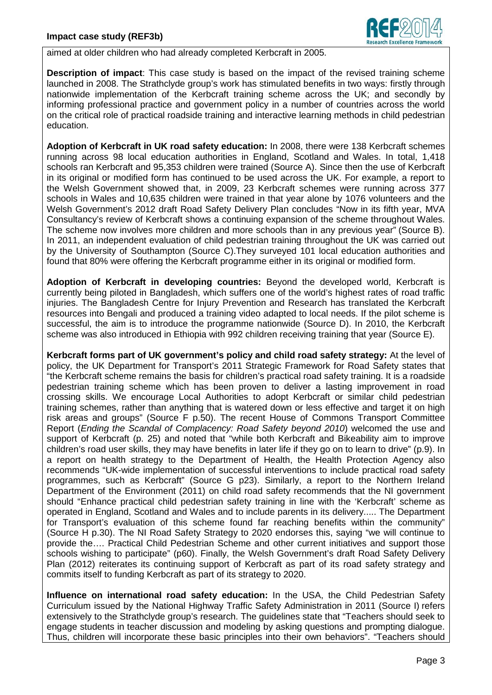

aimed at older children who had already completed Kerbcraft in 2005.

**Description of impact**: This case study is based on the impact of the revised training scheme launched in 2008. The Strathclyde group's work has stimulated benefits in two ways: firstly through nationwide implementation of the Kerbcraft training scheme across the UK; and secondly by informing professional practice and government policy in a number of countries across the world on the critical role of practical roadside training and interactive learning methods in child pedestrian education.

**Adoption of Kerbcraft in UK road safety education:** In 2008, there were 138 Kerbcraft schemes running across 98 local education authorities in England, Scotland and Wales. In total, 1,418 schools ran Kerbcraft and 95,353 children were trained (Source A). Since then the use of Kerbcraft in its original or modified form has continued to be used across the UK. For example, a report to the Welsh Government showed that, in 2009, 23 Kerbcraft schemes were running across 377 schools in Wales and 10,635 children were trained in that year alone by 1076 volunteers and the Welsh Government's 2012 draft Road Safety Delivery Plan concludes "Now in its fifth year, MVA Consultancy's review of Kerbcraft shows a continuing expansion of the scheme throughout Wales. The scheme now involves more children and more schools than in any previous year" (Source B). In 2011, an independent evaluation of child pedestrian training throughout the UK was carried out by the University of Southampton (Source C).They surveyed 101 local education authorities and found that 80% were offering the Kerbcraft programme either in its original or modified form.

**Adoption of Kerbcraft in developing countries:** Beyond the developed world, Kerbcraft is currently being piloted in Bangladesh, which suffers one of the world's highest rates of road traffic injuries. The Bangladesh Centre for Injury Prevention and Research has translated the Kerbcraft resources into Bengali and produced a training video adapted to local needs. If the pilot scheme is successful, the aim is to introduce the programme nationwide (Source D). In 2010, the Kerbcraft scheme was also introduced in Ethiopia with 992 children receiving training that year (Source E).

**Kerbcraft forms part of UK government's policy and child road safety strategy:** At the level of policy, the UK Department for Transport's 2011 Strategic Framework for Road Safety states that "the Kerbcraft scheme remains the basis for children's practical road safety training. It is a roadside pedestrian training scheme which has been proven to deliver a lasting improvement in road crossing skills. We encourage Local Authorities to adopt Kerbcraft or similar child pedestrian training schemes, rather than anything that is watered down or less effective and target it on high risk areas and groups" (Source F p.50). The recent House of Commons Transport Committee Report (*Ending the Scandal of Complacency: Road Safety beyond 2010*) welcomed the use and support of Kerbcraft (p. 25) and noted that "while both Kerbcraft and Bikeability aim to improve children's road user skills, they may have benefits in later life if they go on to learn to drive" (p.9). In a report on health strategy to the Department of Health, the Health Protection Agency also recommends "UK-wide implementation of successful interventions to include practical road safety programmes, such as Kerbcraft" (Source G p23). Similarly, a report to the Northern Ireland Department of the Environment (2011) on child road safety recommends that the NI government should "Enhance practical child pedestrian safety training in line with the 'Kerbcraft' scheme as operated in England, Scotland and Wales and to include parents in its delivery..... The Department for Transport's evaluation of this scheme found far reaching benefits within the community" (Source H p.30). The NI Road Safety Strategy to 2020 endorses this, saying "we will continue to provide the…. Practical Child Pedestrian Scheme and other current initiatives and support those schools wishing to participate" (p60). Finally, the Welsh Government's draft Road Safety Delivery Plan (2012) reiterates its continuing support of Kerbcraft as part of its road safety strategy and commits itself to funding Kerbcraft as part of its strategy to 2020.

**Influence on international road safety education:** In the USA, the Child Pedestrian Safety Curriculum issued by the National Highway Traffic Safety Administration in 2011 (Source I) refers extensively to the Strathclyde group's research. The guidelines state that "Teachers should seek to engage students in teacher discussion and modeling by asking questions and prompting dialogue. Thus, children will incorporate these basic principles into their own behaviors". "Teachers should